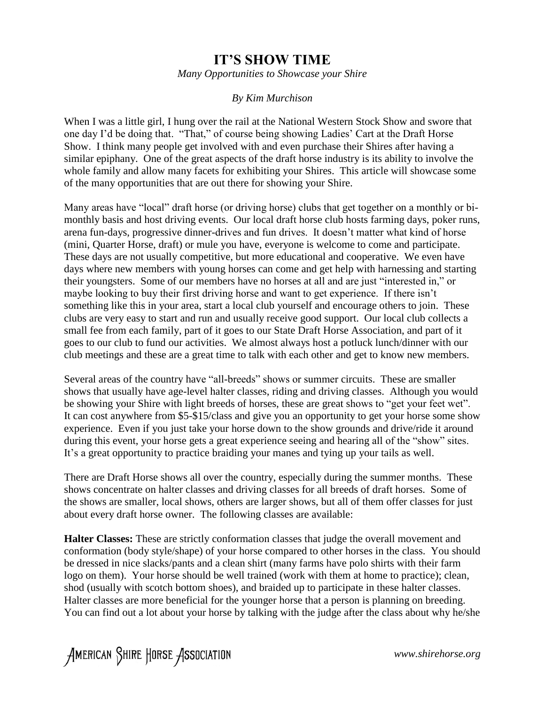## **IT'S SHOW TIME**

*Many Opportunities to Showcase your Shire*

## *By Kim Murchison*

When I was a little girl, I hung over the rail at the National Western Stock Show and swore that one day I'd be doing that. "That," of course being showing Ladies' Cart at the Draft Horse Show. I think many people get involved with and even purchase their Shires after having a similar epiphany. One of the great aspects of the draft horse industry is its ability to involve the whole family and allow many facets for exhibiting your Shires. This article will showcase some of the many opportunities that are out there for showing your Shire.

Many areas have "local" draft horse (or driving horse) clubs that get together on a monthly or bimonthly basis and host driving events. Our local draft horse club hosts farming days, poker runs, arena fun-days, progressive dinner-drives and fun drives. It doesn't matter what kind of horse (mini, Quarter Horse, draft) or mule you have, everyone is welcome to come and participate. These days are not usually competitive, but more educational and cooperative. We even have days where new members with young horses can come and get help with harnessing and starting their youngsters. Some of our members have no horses at all and are just "interested in," or maybe looking to buy their first driving horse and want to get experience. If there isn't something like this in your area, start a local club yourself and encourage others to join. These clubs are very easy to start and run and usually receive good support. Our local club collects a small fee from each family, part of it goes to our State Draft Horse Association, and part of it goes to our club to fund our activities. We almost always host a potluck lunch/dinner with our club meetings and these are a great time to talk with each other and get to know new members.

Several areas of the country have "all-breeds" shows or summer circuits. These are smaller shows that usually have age-level halter classes, riding and driving classes. Although you would be showing your Shire with light breeds of horses, these are great shows to "get your feet wet". It can cost anywhere from \$5-\$15/class and give you an opportunity to get your horse some show experience. Even if you just take your horse down to the show grounds and drive/ride it around during this event, your horse gets a great experience seeing and hearing all of the "show" sites. It's a great opportunity to practice braiding your manes and tying up your tails as well.

There are Draft Horse shows all over the country, especially during the summer months. These shows concentrate on halter classes and driving classes for all breeds of draft horses. Some of the shows are smaller, local shows, others are larger shows, but all of them offer classes for just about every draft horse owner. The following classes are available:

**Halter Classes:** These are strictly conformation classes that judge the overall movement and conformation (body style/shape) of your horse compared to other horses in the class. You should be dressed in nice slacks/pants and a clean shirt (many farms have polo shirts with their farm logo on them). Your horse should be well trained (work with them at home to practice); clean, shod (usually with scotch bottom shoes), and braided up to participate in these halter classes. Halter classes are more beneficial for the younger horse that a person is planning on breeding. You can find out a lot about your horse by talking with the judge after the class about why he/she

American Shire Horse Association

*www.shirehorse.org*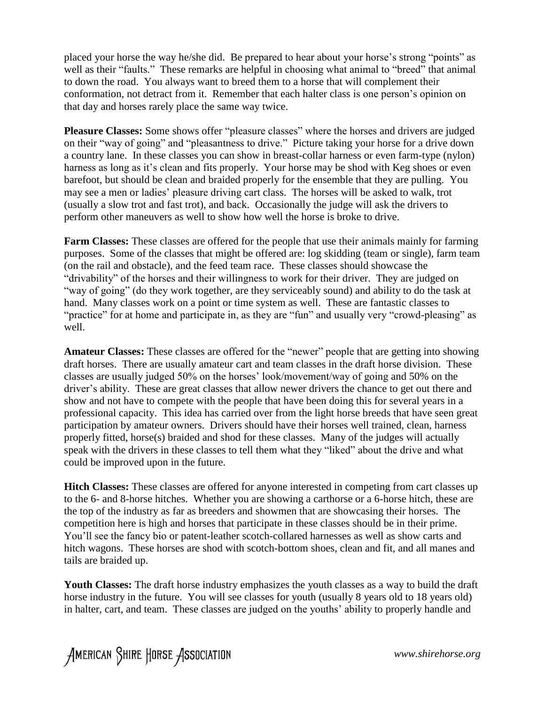placed your horse the way he/she did. Be prepared to hear about your horse's strong "points" as well as their "faults." These remarks are helpful in choosing what animal to "breed" that animal to down the road. You always want to breed them to a horse that will complement their conformation, not detract from it. Remember that each halter class is one person's opinion on that day and horses rarely place the same way twice.

**Pleasure Classes:** Some shows offer "pleasure classes" where the horses and drivers are judged on their "way of going" and "pleasantness to drive." Picture taking your horse for a drive down a country lane. In these classes you can show in breast-collar harness or even farm-type (nylon) harness as long as it's clean and fits properly. Your horse may be shod with Keg shoes or even barefoot, but should be clean and braided properly for the ensemble that they are pulling. You may see a men or ladies' pleasure driving cart class. The horses will be asked to walk, trot (usually a slow trot and fast trot), and back. Occasionally the judge will ask the drivers to perform other maneuvers as well to show how well the horse is broke to drive.

**Farm Classes:** These classes are offered for the people that use their animals mainly for farming purposes. Some of the classes that might be offered are: log skidding (team or single), farm team (on the rail and obstacle), and the feed team race. These classes should showcase the "drivability" of the horses and their willingness to work for their driver. They are judged on "way of going" (do they work together, are they serviceably sound) and ability to do the task at hand. Many classes work on a point or time system as well. These are fantastic classes to "practice" for at home and participate in, as they are "fun" and usually very "crowd-pleasing" as well.

**Amateur Classes:** These classes are offered for the "newer" people that are getting into showing draft horses. There are usually amateur cart and team classes in the draft horse division. These classes are usually judged 50% on the horses' look/movement/way of going and 50% on the driver's ability. These are great classes that allow newer drivers the chance to get out there and show and not have to compete with the people that have been doing this for several years in a professional capacity. This idea has carried over from the light horse breeds that have seen great participation by amateur owners. Drivers should have their horses well trained, clean, harness properly fitted, horse(s) braided and shod for these classes. Many of the judges will actually speak with the drivers in these classes to tell them what they "liked" about the drive and what could be improved upon in the future.

**Hitch Classes:** These classes are offered for anyone interested in competing from cart classes up to the 6- and 8-horse hitches. Whether you are showing a carthorse or a 6-horse hitch, these are the top of the industry as far as breeders and showmen that are showcasing their horses. The competition here is high and horses that participate in these classes should be in their prime. You'll see the fancy bio or patent-leather scotch-collared harnesses as well as show carts and hitch wagons. These horses are shod with scotch-bottom shoes, clean and fit, and all manes and tails are braided up.

**Youth Classes:** The draft horse industry emphasizes the youth classes as a way to build the draft horse industry in the future. You will see classes for youth (usually 8 years old to 18 years old) in halter, cart, and team. These classes are judged on the youths' ability to properly handle and